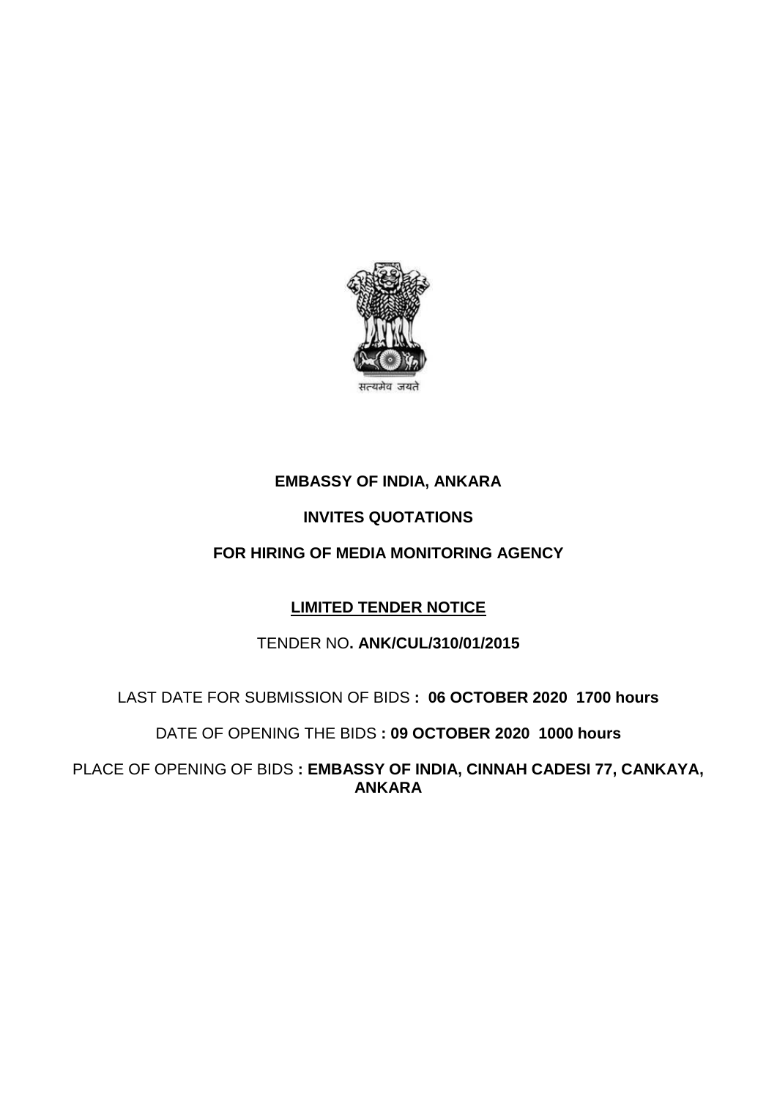

# **EMBASSY OF INDIA, ANKARA**

## **INVITES QUOTATIONS**

### **FOR HIRING OF MEDIA MONITORING AGENCY**

## **LIMITED TENDER NOTICE**

#### TENDER NO**. ANK/CUL/310/01/2015**

#### LAST DATE FOR SUBMISSION OF BIDS **: 06 OCTOBER 2020 1700 hours**

#### DATE OF OPENING THE BIDS **: 09 OCTOBER 2020 1000 hours**

PLACE OF OPENING OF BIDS **: EMBASSY OF INDIA, CINNAH CADESI 77, CANKAYA, ANKARA**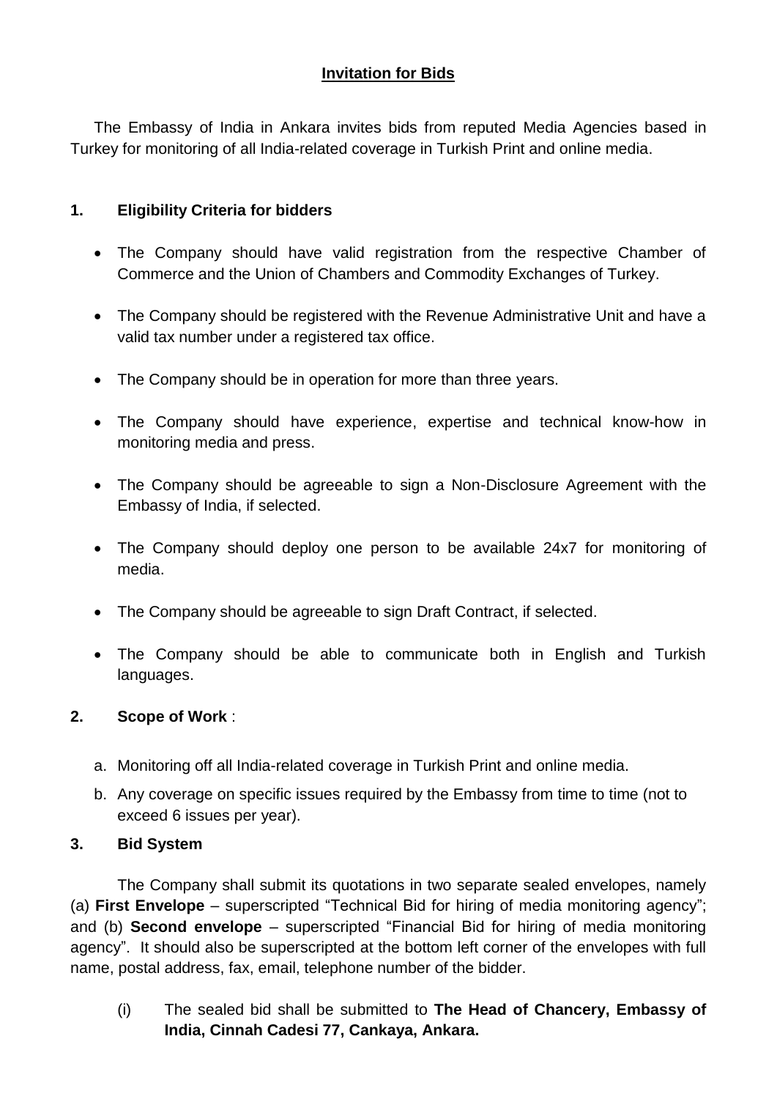## **Invitation for Bids**

The Embassy of India in Ankara invites bids from reputed Media Agencies based in Turkey for monitoring of all India-related coverage in Turkish Print and online media.

## **1. Eligibility Criteria for bidders**

- The Company should have valid registration from the respective Chamber of Commerce and the Union of Chambers and Commodity Exchanges of Turkey.
- The Company should be registered with the Revenue Administrative Unit and have a valid tax number under a registered tax office.
- The Company should be in operation for more than three years.
- The Company should have experience, expertise and technical know-how in monitoring media and press.
- The Company should be agreeable to sign a Non-Disclosure Agreement with the Embassy of India, if selected.
- The Company should deploy one person to be available 24x7 for monitoring of media.
- The Company should be agreeable to sign Draft Contract, if selected.
- The Company should be able to communicate both in English and Turkish languages.

## **2. Scope of Work** :

- a. Monitoring off all India-related coverage in Turkish Print and online media.
- b. Any coverage on specific issues required by the Embassy from time to time (not to exceed 6 issues per year).

#### **3. Bid System**

The Company shall submit its quotations in two separate sealed envelopes, namely (a) **First Envelope** – superscripted "Technical Bid for hiring of media monitoring agency"; and (b) **Second envelope** – superscripted "Financial Bid for hiring of media monitoring agency". It should also be superscripted at the bottom left corner of the envelopes with full name, postal address, fax, email, telephone number of the bidder.

(i) The sealed bid shall be submitted to **The Head of Chancery, Embassy of India, Cinnah Cadesi 77, Cankaya, Ankara.**